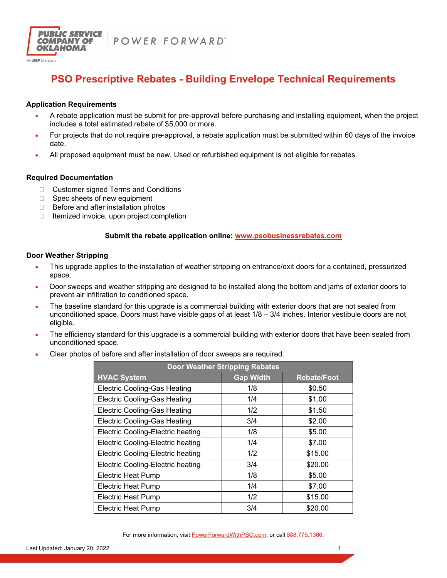



An **AEP** Company

# **PSO Prescriptive Rebates - Building Envelope Technical Requirements**

## **Application Requirements**

- A rebate application must be submit for pre-approval before purchasing and installing equipment, when the project includes a total estimated rebate of \$5,000 or more.
- For projects that do not require pre-approval, a rebate application must be submitted within 60 days of the invoice date.
- All proposed equipment must be new. Used or refurbished equipment is not eligible for rebates.

# **Required Documentation**

- □ Customer signed Terms and Conditions
- □ Spec sheets of new equipment
- $\Box$  Before and after installation photos
- $\Box$  Itemized invoice, upon project completion

# **Submit the rebate application online: www.psobusinessrebates.com**

### **Door Weather Stripping**

- This upgrade applies to the installation of weather stripping on entrance/exit doors for a contained, pressurized space.
- Door sweeps and weather stripping are designed to be installed along the bottom and jams of exterior doors to prevent air infiltration to conditioned space.
- The baseline standard for this upgrade is a commercial building with exterior doors that are not sealed from unconditioned space. Doors must have visible gaps of at least  $1/8 - 3/4$  inches. Interior vestibule doors are not eligible.
- The efficiency standard for this upgrade is a commercial building with exterior doors that have been sealed from unconditioned space.
- Clear photos of before and after installation of door sweeps are required.

| <b>Door Weather Stripping Rebates</b>    |                  |                    |  |
|------------------------------------------|------------------|--------------------|--|
| <b>HVAC System</b>                       | <b>Gap Width</b> | <b>Rebate/Foot</b> |  |
| <b>Electric Cooling-Gas Heating</b>      | 1/8              | \$0.50             |  |
| <b>Electric Cooling-Gas Heating</b>      | 1/4              | \$1.00             |  |
| <b>Electric Cooling-Gas Heating</b>      | 1/2              | \$1.50             |  |
| <b>Electric Cooling-Gas Heating</b>      | 3/4              | \$2.00             |  |
| <b>Electric Cooling-Electric heating</b> | 1/8              | \$5.00             |  |
| Electric Cooling-Electric heating        | 1/4              | \$7.00             |  |
| Electric Cooling-Electric heating        | 1/2              | \$15.00            |  |
| Electric Cooling-Electric heating        | 3/4              | \$20.00            |  |
| <b>Electric Heat Pump</b>                | 1/8              | \$5.00             |  |
| Electric Heat Pump                       | 1/4              | \$7.00             |  |
| <b>Electric Heat Pump</b>                | 1/2              | \$15.00            |  |
| <b>Electric Heat Pump</b>                | 3/4              | \$20.00            |  |

For more information, visit PowerForwardWithPSO.com, or call 888.776.1366.